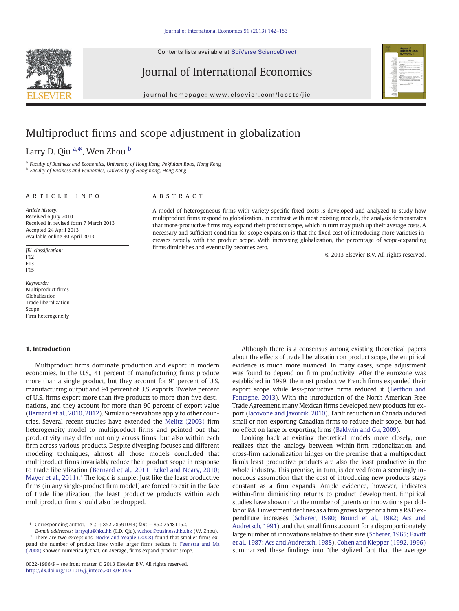Contents lists available at SciVerse ScienceDirect

<span id="page-0-0"></span>

Journal of International Economics

journal homepage: www.elsevier.com/locate/jie



# Multiproduct firms and scope adjustment in globalization

Larry D. Qiu <sup>a,\*</sup>, Wen Zhou <sup>b</sup>

<sup>a</sup> Faculty of Business and Economics, University of Hong Kong, Pokfulam Road, Hong Kong

<sup>b</sup> Faculty of Business and Economics, University of Hong Kong, Hong Kong

# article info abstract

Article history: Received 6 July 2010 Received in revised form 7 March 2013 Accepted 24 April 2013 Available online 30 April 2013

JEL classification: F12 F13 F15

Keywords: Multiproduct firms Globalization Trade liberalization Scope Firm heterogeneity

#### 1. Introduction

Multiproduct firms dominate production and export in modern economies. In the U.S., 41 percent of manufacturing firms produce more than a single product, but they account for 91 percent of U.S. manufacturing output and 94 percent of U.S. exports. Twelve percent of U.S. firms export more than five products to more than five destinations, and they account for more than 90 percent of export value [\(Bernard et al., 2010, 2012\)](#page-11-0). Similar observations apply to other countries. Several recent studies have extended the [Melitz \(2003\)](#page-11-0) firm heterogeneity model to multiproduct firms and pointed out that productivity may differ not only across firms, but also within each firm across various products. Despite diverging focuses and different modeling techniques, almost all those models concluded that multiproduct firms invariably reduce their product scope in response to trade liberalization [\(Bernard et al., 2011; Eckel and Neary, 2010;](#page-11-0) [Mayer et al., 2011\)](#page-11-0).<sup>1</sup> The logic is simple: Just like the least productive firms (in any single-product firm model) are forced to exit in the face of trade liberalization, the least productive products within each multiproduct firm should also be dropped.

E-mail addresses: [larryqiu@hku.hk](mailto:larryqiu@hku.hk) (L.D. Qiu), [wzhou@business.hku.hk](mailto:wzhou@business.hku.hk) (W. Zhou). <sup>1</sup> There are two exceptions. [Nocke and Yeaple \(2008\)](#page-11-0) found that smaller firms expand the number of product lines while larger firms reduce it. [Feenstra and Ma](#page-11-0) [\(2008\)](#page-11-0) showed numerically that, on average, firms expand product scope.

A model of heterogeneous firms with variety-specific fixed costs is developed and analyzed to study how multiproduct firms respond to globalization. In contrast with most existing models, the analysis demonstrates that more-productive firms may expand their product scope, which in turn may push up their average costs. A necessary and sufficient condition for scope expansion is that the fixed cost of introducing more varieties increases rapidly with the product scope. With increasing globalization, the percentage of scope-expanding firms diminishes and eventually becomes zero.

© 2013 Elsevier B.V. All rights reserved.

Although there is a consensus among existing theoretical papers about the effects of trade liberalization on product scope, the empirical evidence is much more nuanced. In many cases, scope adjustment was found to depend on firm productivity. After the eurozone was established in 1999, the most productive French firms expanded their export scope while less-productive firms reduced it ([Berthou and](#page-11-0) [Fontagne, 2013\)](#page-11-0). With the introduction of the North American Free Trade Agreement, many Mexican firms developed new products for export [\(Iacovone and Javorcik, 2010](#page-11-0)). Tariff reduction in Canada induced small or non-exporting Canadian firms to reduce their scope, but had no effect on large or exporting firms [\(Baldwin and Gu, 2009\)](#page-11-0).

Looking back at existing theoretical models more closely, one realizes that the analogy between within-firm rationalization and cross-firm rationalization hinges on the premise that a multiproduct firm's least productive products are also the least productive in the whole industry. This premise, in turn, is derived from a seemingly innocuous assumption that the cost of introducing new products stays constant as a firm expands. Ample evidence, however, indicates within-firm diminishing returns to product development. Empirical studies have shown that the number of patents or innovations per dollar of R&D investment declines as a firm grows larger or a firm's R&D expenditure increases ([Scherer, 1980; Bound et al., 1982; Acs and](#page-11-0) [Audretsch, 1991](#page-11-0)), and that small firms account for a disproportionately large number of innovations relative to their size [\(Scherer, 1965; Pavitt](#page-11-0) [et al., 1987; Acs and Audretsch, 1988\)](#page-11-0). [Cohen and Klepper \(1992, 1996\)](#page-11-0) summarized these findings into "the stylized fact that the average

<sup>⁎</sup> Corresponding author. Tel.: +852 28591043; fax: +852 25481152.

<sup>0022-1996/\$</sup> – see front matter © 2013 Elsevier B.V. All rights reserved. <http://dx.doi.org/10.1016/j.jinteco.2013.04.006>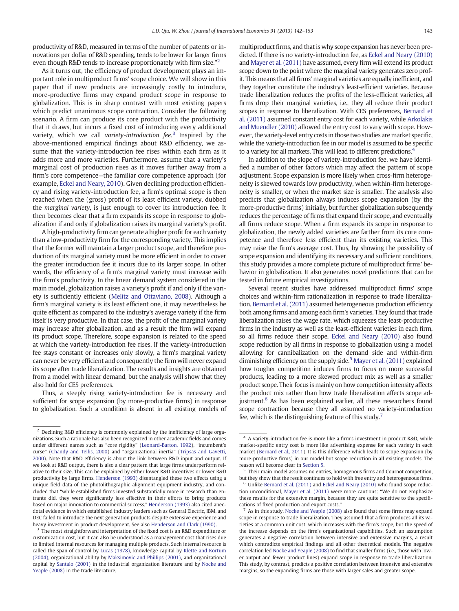productivity of R&D, measured in terms of the number of patents or innovations per dollar of R&D spending, tends to be lower for larger firms even though R&D tends to increase proportionately with firm size."<sup>2</sup>

As it turns out, the efficiency of product development plays an important role in multiproduct firms' scope choice. We will show in this paper that if new products are increasingly costly to introduce, more-productive firms may expand product scope in response to globalization. This is in sharp contrast with most existing papers which predict unanimous scope contraction. Consider the following scenario. A firm can produce its core product with the productivity that it draws, but incurs a fixed cost of introducing every additional variety, which we call variety-introduction fee.<sup>3</sup> Inspired by the above-mentioned empirical findings about R&D efficiency, we assume that the variety-introduction fee rises within each firm as it adds more and more varieties. Furthermore, assume that a variety's marginal cost of production rises as it moves further away from a firm's core competence—the familiar core competence approach (for example, [Eckel and Neary, 2010\)](#page-11-0). Given declining production efficiency and rising variety-introduction fee, a firm's optimal scope is then reached when the (gross) profit of its least efficient variety, dubbed the marginal variety, is just enough to cover its introduction fee. It then becomes clear that a firm expands its scope in response to globalization if and only if globalization raises its marginal variety's profit.

A high-productivity firm can generate a higher profit for each variety than a low-productivity firm for the corresponding variety. This implies that the former will maintain a larger product scope, and therefore production of its marginal variety must be more efficient in order to cover the greater introduction fee it incurs due to its larger scope. In other words, the efficiency of a firm's marginal variety must increase with the firm's productivity. In the linear demand system considered in the main model, globalization raises a variety's profit if and only if the variety is sufficiently efficient [\(Melitz and Ottaviano, 2008\)](#page-11-0). Although a firm's marginal variety is its least efficient one, it may nevertheless be quite efficient as compared to the industry's average variety if the firm itself is very productive. In that case, the profit of the marginal variety may increase after globalization, and as a result the firm will expand its product scope. Therefore, scope expansion is related to the speed at which the variety-introduction fee rises. If the variety-introduction fee stays constant or increases only slowly, a firm's marginal variety can never be very efficient and consequently the firm will never expand its scope after trade liberalization. The results and insights are obtained from a model with linear demand, but the analysis will show that they also hold for CES preferences.

Thus, a steeply rising variety-introduction fee is necessary and sufficient for scope expansion (by more-productive firms) in response to globalization. Such a condition is absent in all existing models of multiproduct firms, and that is why scope expansion has never been predicted. If there is no variety-introduction fee, as [Eckel and Neary \(2010\)](#page-11-0) and [Mayer et al. \(2011\)](#page-11-0) have assumed, every firm will extend its product scope down to the point where the marginal variety generates zero profit. This means that all firms' marginal varieties are equally inefficient, and they together constitute the industry's least-efficient varieties. Because trade liberalization reduces the profits of the less-efficient varieties, all firms drop their marginal varieties, i.e., they all reduce their product scopes in response to liberalization. With CES preferences, [Bernard et](#page-11-0) [al. \(2011\)](#page-11-0) assumed constant entry cost for each variety, while [Arkolakis](#page-11-0) [and Muendler \(2010\)](#page-11-0) allowed the entry cost to vary with scope. However, the variety-level entry costs in those two studies are market specific, while the variety-introduction fee in our model is assumed to be specific to a variety for all markets. This will lead to different predictions.<sup>4</sup>

In addition to the slope of variety-introduction fee, we have identified a number of other factors which may affect the pattern of scope adjustment. Scope expansion is more likely when cross-firm heterogeneity is skewed towards low productivity, when within-firm heterogeneity is smaller, or when the market size is smaller. The analysis also predicts that globalization always induces scope expansion (by the more-productive firms) initially, but further globalization subsequently reduces the percentage of firms that expand their scope, and eventually all firms reduce scope. When a firm expands its scope in response to globalization, the newly added varieties are farther from its core competence and therefore less efficient than its existing varieties. This may raise the firm's average cost. Thus, by showing the possibility of scope expansion and identifying its necessary and sufficient conditions, this study provides a more complete picture of multiproduct firms' behavior in globalization. It also generates novel predictions that can be tested in future empirical investigations.

Several recent studies have addressed multiproduct firms' scope choices and within-firm rationalization in response to trade liberalization. [Bernard et al. \(2011\)](#page-11-0) assumed heterogeneous production efficiency both among firms and among each firm's varieties. They found that trade liberalization raises the wage rate, which squeezes the least-productive firms in the industry as well as the least-efficient varieties in each firm, so all firms reduce their scope. [Eckel and Neary \(2010\)](#page-11-0) also found scope reduction by all firms in response to globalization using a model allowing for cannibalization on the demand side and within-firm diminishing efficiency on the supply side.<sup>5</sup> [Mayer et al. \(2011\)](#page-11-0) explained how tougher competition induces firms to focus on more successful products, leading to a more skewed product mix as well as a smaller product scope. Their focus is mainly on how competition intensity affects the product mix rather than how trade liberalization affects scope adjustment.<sup>6</sup> As has been explained earlier, all these researchers found scope contraction because they all assumed no variety-introduction fee, which is the distinguishing feature of this study.<sup>7</sup>

<sup>&</sup>lt;sup>2</sup> Declining R&D efficiency is commonly explained by the inefficiency of large organizations. Such a rationale has also been recognized in other academic fields and comes under different names such as "core rigidity" ([Leonard-Barton, 1992](#page-11-0)), "incumbent's curse" ([Chandy and Tellis, 2000](#page-11-0)) and "organizational inertia" ([Tripsas and Gavetti,](#page-11-0) [2000](#page-11-0)). Note that R&D efficiency is about the link between R&D input and output. If we look at R&D output, there is also a clear pattern that large firms underperform relative to their size. This can be explained by either lower R&D incentives or lower R&D productivity by large firms. [Henderson \(1993\)](#page-11-0) disentangled these two effects using a unique field data of the photolithographic alignment equipment industry, and concluded that "while established firms invested substantially more in research than entrants did, they were significantly less effective in their efforts to bring products based on major innovation to commercial success." [Henderson \(1993\)](#page-11-0) also cited anecdotal evidence in which established industry leaders such as General Electric, IBM, and DEC failed to introduce the next generation products despite extensive experience and heavy investment in product development. See also [Henderson and Clark \(1990\).](#page-11-0)

<sup>&</sup>lt;sup>3</sup> The most straightforward interpretation of the fixed cost is an R&D expenditure or customization cost, but it can also be understood as a management cost that rises due to limited internal resources for managing multiple products. Such internal resource is called the span of control by [Lucas \(1978\),](#page-11-0) knowledge capital by [Klette and Kortum](#page-11-0) [\(2004\),](#page-11-0) organizational ability by [Maksimovic and Phillips \(2001\),](#page-11-0) and organizational capital by [Santalo \(2001\)](#page-11-0) in the industrial organization literature and by [Nocke and](#page-11-0) [Yeaple \(2008\)](#page-11-0) in the trade literature.

<sup>4</sup> A variety-introduction fee is more like a firm's investment in product R&D, while market-specific entry cost is more like advertising expense for each variety in each market [\(Bernard et al., 2011\)](#page-11-0). It is this difference which leads to scope expansion (by more-productive firms) in our model but scope reduction in all existing models. The reason will become clear in [Section 5.](#page-8-0)

<sup>5</sup> Their main model assumes no entries, homogenous firms and Cournot competition, but they show that the result continues to hold with free entry and heterogeneous firms. Unlike [Bernard et al. \(2011\)](#page-11-0) and [Eckel and Neary \(2010\)](#page-11-0) who found scope reduc-

tion unconditional, [Mayer et al. \(2011\)](#page-11-0) were more cautious: "We do not emphasize these results for the extensive margin, because they are quite sensitive to the specifications of fixed production and export costs."

 $7$  As in this study, [Nocke and Yeaple \(2008\)](#page-11-0) also found that some firms may expand scope in response to trade liberalization. They assumed that a firm produces all its varieties at a common unit cost, which increases with the firm's scope, but the speed of the increase depends on the firm's organizational capabilities. Such an assumption generates a negative correlation between intensive and extensive margins, a result which contradicts empirical findings and all other theoretical models. The negative correlation led [Nocke and Yeaple \(2008\)](#page-11-0) to find that smaller firms (i.e., those with lower output and fewer product lines) expand scope in response to trade liberalization. This study, by contrast, predicts a positive correlation between intensive and extensive margins, so the expanding firms are those with larger sales and greater scope.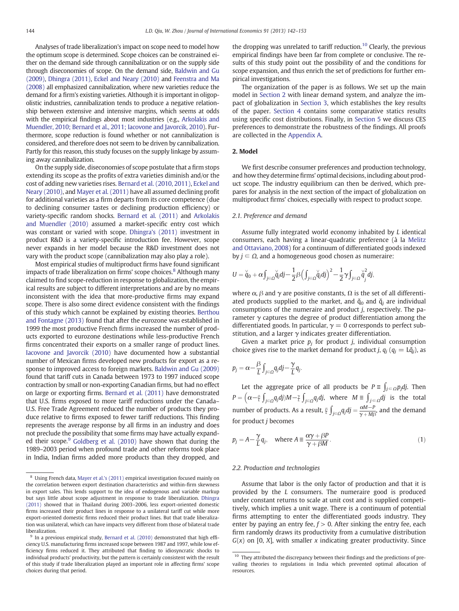<span id="page-2-0"></span>Analyses of trade liberalization's impact on scope need to model how the optimum scope is determined. Scope choices can be constrained either on the demand side through cannibalization or on the supply side through diseconomies of scope. On the demand side, [Baldwin and Gu](#page-11-0) [\(2009\)](#page-11-0), [Dhingra \(2011\),](#page-11-0) [Eckel and Neary \(2010\)](#page-11-0) and [Feenstra and Ma](#page-11-0) [\(2008\)](#page-11-0) all emphasized cannibalization, where new varieties reduce the demand for a firm's existing varieties. Although it is important in oligopolistic industries, cannibalization tends to produce a negative relationship between extensive and intensive margins, which seems at odds with the empirical findings about most industries (e.g., [Arkolakis and](#page-11-0) [Muendler, 2010; Bernard et al., 2011; Iacovone and Javorcik, 2010](#page-11-0)). Furthermore, scope reduction is found whether or not cannibalization is considered, and therefore does not seem to be driven by cannibalization. Partly for this reason, this study focuses on the supply linkage by assuming away cannibalization.

On the supply side, diseconomies of scope postulate that a firm stops extending its scope as the profits of extra varieties diminish and/or the cost of adding new varieties rises. [Bernard et al. \(2010, 2011\),](#page-11-0) [Eckel and](#page-11-0) [Neary \(2010\)](#page-11-0), and [Mayer et al. \(2011\)](#page-11-0) have all assumed declining profit for additional varieties as a firm departs from its core competence (due to declining consumer tastes or declining production efficiency) or variety-specific random shocks. [Bernard et al. \(2011\)](#page-11-0) and [Arkolakis](#page-11-0) [and Muendler \(2010\)](#page-11-0) assumed a market-specific entry cost which was constant or varied with scope. [Dhingra's \(2011\)](#page-11-0) investment in product R&D is a variety-specific introduction fee. However, scope never expands in her model because the R&D investment does not vary with the product scope (cannibalization may also play a role).

Most empirical studies of multiproduct firms have found significant impacts of trade liberalization on firms' scope choices.<sup>8</sup> Although many claimed to find scope-reduction in response to globalization, the empirical results are subject to different interpretations and are by no means inconsistent with the idea that more-productive firms may expand scope. There is also some direct evidence consistent with the findings of this study which cannot be explained by existing theories. [Berthou](#page-11-0) [and Fontagne \(2013\)](#page-11-0) found that after the eurozone was established in 1999 the most productive French firms increased the number of products exported to eurozone destinations while less-productive French firms concentrated their exports on a smaller range of product lines. [Iacovone and Javorcik \(2010\)](#page-11-0) have documented how a substantial number of Mexican firms developed new products for export as a response to improved access to foreign markets. [Baldwin and Gu \(2009\)](#page-11-0) found that tariff cuts in Canada between 1973 to 1997 induced scope contraction by small or non-exporting Canadian firms, but had no effect on large or exporting firms. [Bernard et al. \(2011\)](#page-11-0) have demonstrated that U.S. firms exposed to more tariff reductions under the Canada– U.S. Free Trade Agreement reduced the number of products they produce relative to firms exposed to fewer tariff reductions. This finding represents the average response by all firms in an industry and does not preclude the possibility that some firms may have actually expand-ed their scope.<sup>9</sup> [Goldberg et al. \(2010\)](#page-11-0) have shown that during the 1989–2003 period when profound trade and other reforms took place in India, Indian firms added more products than they dropped, and the dropping was unrelated to tariff reduction.<sup>10</sup> Clearly, the previous empirical findings have been far from complete or conclusive. The results of this study point out the possibility of and the conditions for scope expansion, and thus enrich the set of predictions for further empirical investigations.

The organization of the paper is as follows. We set up the main model in Section 2 with linear demand system, and analyze the impact of globalization in [Section 3,](#page-5-0) which establishes the key results of the paper. [Section 4](#page-6-0) contains some comparative statics results using specific cost distributions. Finally, in [Section 5](#page-8-0) we discuss CES preferences to demonstrate the robustness of the findings. All proofs are collected in the [Appendix A.](#page-9-0)

# 2. Model

We first describe consumer preferences and production technology, and how they determine firms' optimal decisions, including about product scope. The industry equilibrium can then be derived, which prepares for analysis in the next section of the impact of globalization on multiproduct firms' choices, especially with respect to product scope.

# 2.1. Preference and demand

Assume fully integrated world economy inhabited by L identical consumers, each having a linear-quadratic preference (à la [Melitz](#page-11-0) [and Ottaviano, 2008\)](#page-11-0) for a continuum of differentiated goods indexed by  $j \in \Omega$ , and a homogeneous good chosen as numeraire:

$$
U=\overset{\vee}{q}_0+\alpha\!\int_{j\in\varOmega}\!\overset{\vee}{q}_jdj-\frac{1}{2}\beta\Big(\int_{j\in\varOmega}\!\overset{\vee}{q}_jdj\Big)^2-\frac{1}{2}\gamma\!\int_{j\in\varOmega}\!\overset{\vee}{q}_j^2dj,
$$

where  $\alpha$ ,  $\beta$  and  $\gamma$  are positive constants,  $\Omega$  is the set of all differentiated products supplied to the market, and  $\check{q}_0$  and  $\check{q}_j$  are individual consumptions of the numeraire and product j, respectively. The parameter  $\gamma$  captures the degree of product differentiation among the differentiated goods. In particular,  $\gamma = 0$  corresponds to perfect substitution, and a larger  $\gamma$  indicates greater differentiation.

Given a market price  $p_i$  for product *j*, individual consumption choice gives rise to the market demand for product j,  $q_i$  ( $q_i = L\ddot{q}_i$ ), as

$$
p_j = \alpha - \frac{\beta}{L} \int_{j \in \Omega} q_j dj - \frac{\gamma}{L} q_j.
$$

Let the aggregate price of all products be  $P = \int_{j \in \Omega} p_j dj$ . Then  $P=\left(\alpha{-}\frac{\beta}{l}\int_{j\in\varOmega}q_jdj)M-\frac{\gamma}{l}\int_{j\in\varOmega}q_jdj,$  where  $M\equiv\int_{j\in\varOmega}dj$  is the total number of products. As a result,  $\frac{\beta}{L} \int_{j \in \Omega} q_j dj = \frac{\alpha M - P}{\gamma + M\beta}$ , and the demand for product j becomes

$$
p_j = A - \frac{\gamma}{L} q_j, \quad \text{where } A \equiv \frac{\alpha \gamma + \beta P}{\gamma + \beta M}.
$$
 (1)

#### 2.2. Production and technologies

Assume that labor is the only factor of production and that it is provided by the L consumers. The numeraire good is produced under constant returns to scale at unit cost and is supplied competitively, which implies a unit wage. There is a continuum of potential firms attempting to enter the differentiated goods industry. They enter by paying an entry fee,  $f > 0$ . After sinking the entry fee, each firm randomly draws its productivity from a cumulative distribution  $G(x)$  on [0, X], with smaller x indicating greater productivity. Since

<sup>8</sup> Using French data, [Mayer et al.'s \(2011\)](#page-11-0) empirical investigation focused mainly on the correlation between export destination characteristics and within-firm skewness in export sales. This lends support to the idea of endogenous and variable markup but says little about scope adjustment in response to trade liberalization. [Dhingra](#page-11-0) [\(2011\)](#page-11-0) showed that in Thailand during 2003–2006, less export-oriented domestic firms increased their product lines in response to a unilateral tariff cut while more export-oriented domestic firms reduced their product lines. But that trade liberalization was unilateral, which can have impacts very different from those of bilateral trade liberalization.

In a previous empirical study, [Bernard et al. \(2010\)](#page-11-0) demonstrated that high efficiency U.S. manufacturing firms increased scope between 1987 and 1997, while low efficiency firms reduced it. They attributed that finding to idiosyncratic shocks to individual products' productivity, but the pattern is certainly consistent with the result of this study if trade liberalization played an important role in affecting firms' scope choices during that period.

 $10$  They attributed the discrepancy between their findings and the predictions of prevailing theories to regulations in India which prevented optimal allocation of resources.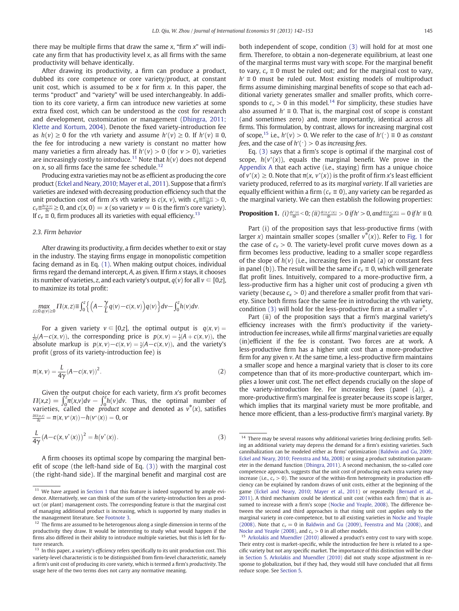<span id="page-3-0"></span>there may be multiple firms that draw the same  $x$ , "firm  $x$ " will indicate any firm that has productivity level  $x$ , as all firms with the same productivity will behave identically.

After drawing its productivity, a firm can produce a product, dubbed its core competence or core variety/product, at constant unit cost, which is assumed to be  $x$  for firm  $x$ . In this paper, the terms "product" and "variety" will be used interchangeably. In addition to its core variety, a firm can introduce new varieties at some extra fixed cost, which can be understood as the cost for research and development, customization or management [\(Dhingra, 2011;](#page-11-0) [Klette and Kortum, 2004\)](#page-11-0). Denote the fixed variety-introduction fee as  $h(v) \ge 0$  for the vth variety and assume  $h'(v) \ge 0$ . If  $h'(v) \equiv 0$ , the fee for introducing a new variety is constant no matter how many varieties a firm already has. If  $h'(v) > 0$  (for  $v > 0$ ), varieties are increasingly costly to introduce.<sup>11</sup> Note that  $h(v)$  does not depend on x, so all firms face the same fee schedule.<sup>12</sup>

Producing extra varieties may not be as efficient as producing the core product ([Eckel and Neary, 2010; Mayer et al., 2011](#page-11-0)). Suppose that a firm's varieties are indexed with decreasing production efficiency such that the unit production cost of firm x's vth variety is  $c(x, v)$ , with  $c_x \equiv \frac{\partial c(x, v)}{\partial x} > 0$ ,  $c_v \equiv \frac{\partial c(x,v)}{\partial v} \ge 0$ , and  $c(x, 0) = x$  (so variety  $v = 0$  is the firm's core variety). If  $c_v \equiv 0$ , firm produces all its varieties with equal efficiency.<sup>13</sup>

#### 2.3. Firm behavior

After drawing its productivity, a firm decides whether to exit or stay in the industry. The staying firms engage in monopolistic competition facing demand as in Eq. [\(1\).](#page-2-0) When making output choices, individual firms regard the demand intercept, A, as given. If firm x stays, it chooses its number of varieties, *z*, and each variety's output,  $q(v)$  for all  $v \in [0,z]$ , to maximize its total profit:

$$
\max_{z \ge 0, q(v) \ge 0} \Pi(x, z) \equiv \int_0^z \left\{ \left( A - \frac{\gamma}{L} q(v) - c(x, v) \right) q(v) \right\} dv - \int_0^z h(v) dv.
$$

For a given variety  $v \in [0, z]$ , the optimal output is  $q(x, v) =$  $\frac{L}{2\gamma}(A-c(x,v))$ , the corresponding price is  $p(x,v) = \frac{1}{2}(A+c(x,v))$ , the absolute markup is  $p(x, v) - c(x, v) = \frac{1}{2}(A - c(x, v))$ , and the variety's profit (gross of its variety-introduction fee) is

$$
\pi(x,v) = \frac{L}{4\gamma} (A - c(x,v))^2.
$$
\n(2)

Given the output choice for each variety, firm x's profit becomes  $\Pi(x,z) = \int_0^z \pi(x,v)dv - \int_0^z h(v)dv$ . Thus, the optimal number of varieties, called the *product scope* and denoted as  $v^*(x)$ , satisfies  $\frac{\partial H(x,z)}{\partial z} = \pi(x, v^*(x)) - h(v^*(x)) = 0$ , or

$$
\frac{L}{4\gamma} (A - c(x, v^*(x)))^2 = h(v^*(x)).
$$
\n(3)

A firm chooses its optimal scope by comparing the marginal benefit of scope (the left-hand side of Eq. (3)) with the marginal cost (the right-hand side). If the marginal benefit and marginal cost are both independent of scope, condition (3) will hold for at most one firm. Therefore, to obtain a non-degenerate equilibrium, at least one of the marginal terms must vary with scope. For the marginal benefit to vary,  $c_v \equiv 0$  must be ruled out; and for the marginal cost to vary,  $h' \equiv 0$  must be ruled out. Most existing models of multiproduct firms assume diminishing marginal benefits of scope so that each additional variety generates smaller and smaller profits, which corresponds to  $c_v > 0$  in this model.<sup>14</sup> For simplicity, these studies have also assumed  $h' \equiv 0$ . That is, the marginal cost of scope is constant (and sometimes zero) and, more importantly, identical across all firms. This formulation, by contrast, allows for increasing marginal cost of scope,<sup>15</sup> i.e.,  $h'(v) > 0$ . We refer to the case of  $h'(\cdot) \equiv 0$  as constant fees, and the case of  $h'(')>0$  as increasing fees.

Eq. (3) says that a firm's scope is optimal if the marginal cost of scope,  $h(v^*(x))$ , equals the marginal benefit. We prove in the [Appendix A](#page-9-0) that each active (i.e., staying) firm has a unique choice of  $v^*(x) \ge 0$ . Note that  $\pi(x, v^*(x))$  is the profit of firm x's least efficient variety produced, referred to as its marginal variety. If all varieties are equally efficient within a firm ( $c<sub>v</sub> \equiv 0$ ), any variety can be regarded as the marginal variety. We can then establish the following properties:

# **Proposition 1.** (i)  $\frac{dv^*(x)}{dx} < 0$ ; (ii)  $\frac{dc(x, v^*(x))}{dx} > 0$  if  $h' > 0$ , and  $\frac{dc(x, v^*(x))}{dx} = 0$  if  $h' \equiv 0$ .

Part (i) of the proposition says that less-productive firms (with larger x) maintain smaller scopes (smaller  $v^*(x)$ ). Refer to [Fig. 1](#page-4-0) for the case of  $c_v > 0$ . The variety-level profit curve moves down as a firm becomes less productive, leading to a smaller scope regardless of the slope of  $h(v)$  (i.e., increasing fees in panel (a) or constant fees in panel (b)). The result will be the same if  $c<sub>v</sub> \equiv 0$ , which will generate flat profit lines. Intuitively, compared to a more-productive firm, a less-productive firm has a higher unit cost of producing a given vth variety (because  $c_x > 0$ ) and therefore a smaller profit from that variety. Since both firms face the same fee in introducing the vth variety, condition (3) will hold for the less-productive firm at a smaller  $v^*$ .

Part (ii) of the proposition says that a firm's marginal variety's efficiency increases with the firm's productivity if the varietyintroduction fee increases, while all firms' marginal varieties are equally (in)efficient if the fee is constant. Two forces are at work. A less-productive firm has a higher unit cost than a more-productive firm for any given v. At the same time, a less-productive firm maintains a smaller scope and hence a marginal variety that is closer to its core competence than that of its more-productive counterpart, which implies a lower unit cost. The net effect depends crucially on the slope of the variety-introduction fee. For increasing fees (panel (a)), a more-productive firm's marginal fee is greater because its scope is larger, which implies that its marginal variety must be more profitable, and hence more efficient, than a less-productive firm's marginal variety. By

 $11$  We have argued in [Section 1](#page-0-0) that this feature is indeed supported by ample evidence. Alternatively, we can think of the sum of the variety-introduction fees as product (or plant) management costs. The corresponding feature is that the marginal cost of managing additional product is increasing, which is supported by many studies in the management literature. See Footnote 3.

The firms are assumed to be heterogenous along a single dimension in terms of the productivity they draw. It would be interesting to study what would happen if the firms also differed in their ability to introduce multiple varieties, but this is left for future research.

 $^{13}\,$  In this paper, a variety's efficiency refers specifically to its unit production cost. This variety-level characteristic is to be distinguished from firm-level characteristic, namely a firm's unit cost of producing its core variety, which is termed a firm's productivity. The usage here of the two terms does not carry any normative meaning.

 $^{14}$  There may be several reasons why additional varieties bring declining profits. Selling an additional variety may depress the demand for a firm's existing varieties. Such cannibalization can be modeled either as firms' optimization [\(Baldwin and Gu, 2009;](#page-11-0) [Eckel and Neary, 2010; Feenstra and Ma, 2008\)](#page-11-0) or using a product substitution parameter in the demand function [\(Dhingra, 2011\)](#page-11-0). A second mechanism, the so-called core competence approach, suggests that the unit cost of producing each extra variety may increase (i.e.,  $c_v > 0$ ). The source of the within-firm heterogeneity in production efficiency can be explained by random draws of unit costs, either at the beginning of the game ([Eckel and Neary, 2010; Mayer et al., 2011\)](#page-11-0) or repeatedly ([Bernard et al.,](#page-11-0) [2011](#page-11-0)). A third mechanism could be identical unit cost (within each firm) that is assumed to increase with a firm's scope [\(Nocke and Yeaple, 2008\)](#page-11-0). The difference between the second and third approaches is that rising unit cost applies only to the marginal variety in core-competence, but to all existing varieties in [Nocke and Yeaple](#page-11-0) [\(2008\).](#page-11-0) Note that  $c_v = 0$  in [Baldwin and Gu \(2009\),](#page-11-0) [Feenstra and Ma \(2008\)](#page-11-0), and Nocke and Yeaple (2008), and  $c_v > 0$  in all other models.

[Arkolakis and Muendler \(2010\)](#page-11-0) allowed a product's entry cost to vary with scope. Their entry cost is market-specific, while the introduction fee here is related to a specific variety but not any specific market. The importance of this distinction will be clear in [Section 5](#page-8-0). [Arkolakis and Muendler \(2010\)](#page-11-0) did not study scope adjustment in response to globalization, but if they had, they would still have concluded that all firms reduce scope. See [Section 5.](#page-8-0)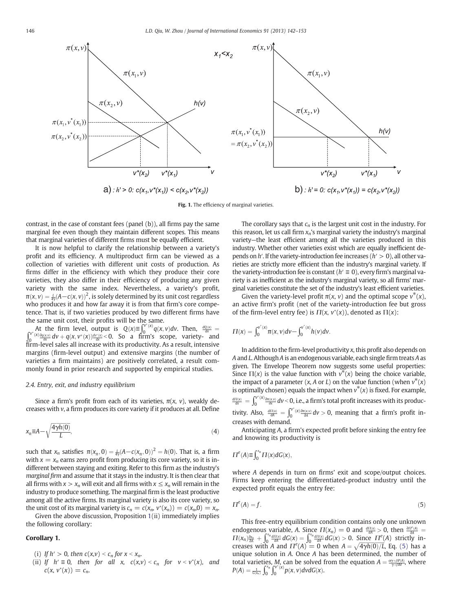<span id="page-4-0"></span>

Fig. 1. The efficiency of marginal varieties.

contrast, in the case of constant fees (panel (b)), all firms pay the same marginal fee even though they maintain different scopes. This means that marginal varieties of different firms must be equally efficient.

It is now helpful to clarify the relationship between a variety's profit and its efficiency. A multiproduct firm can be viewed as a collection of varieties with different unit costs of production. As firms differ in the efficiency with which they produce their core varieties, they also differ in their efficiency of producing any given variety with the same index. Nevertheless, a variety's profit,  $\pi({\mathsf{x}}, v) = \frac{1}{4{\mathsf{y}}} (\mathsf{A} \!-\! \mathsf{c}({\mathsf{x}}, v))^2,$  is solely determined by its unit cost regardless who produces it and how far away it is from that firm's core competence. That is, if two varieties produced by two different firms have the same unit cost, their profits will be the same.

At the firm level, output is  $Q(x) \equiv \int_0^{y^*(x)} q(x, v) dv$ . Then,  $\frac{dQ(x)}{dx} =$  $\int_0^{v^*(x)} \frac{\partial q(x, y)}{\partial x} dv + q(x, v^*(x)) \frac{dv'(x)}{dx} < 0$ . So a firm's scope, variety- and firm-level sales all increase with its productivity. As a result, intensive margins (firm-level output) and extensive margins (the number of varieties a firm maintains) are positively correlated, a result commonly found in prior research and supported by empirical studies.

# 2.4. Entry, exit, and industry equilibrium

Since a firm's profit from each of its varieties,  $\pi(x, v)$ , weakly decreases with v, a firm produces its core variety if it produces at all. Define

$$
x_n \equiv A - \sqrt{\frac{4\gamma h(0)}{L}},\tag{4}
$$

such that  $x_n$  satisfies  $\pi(x_n, 0) = \frac{L}{4\gamma}(A - c(x_n, 0))^2 = h(0)$ . That is, a firm with  $x = x_n$  earns zero profit from producing its core variety, so it is indifferent between staying and exiting. Refer to this firm as the industry's marginal firm and assume that it stays in the industry. It is then clear that all firms with  $x > x_n$  will exit and all firms with  $x \le x_n$  will remain in the industry to produce something. The marginal firm is the least productive among all the active firms. Its marginal variety is also its core variety, so the unit cost of its marginal variety is  $c_n = c(x_n, v^*(x_n)) = c(x_n, 0) = x_n$ .

Given the above discussion, Proposition [1](#page-3-0)(ii) immediately implies the following corollary:

# Corollary 1.

- (i) If  $h' > 0$ , then  $c(x,v) < c_n$  for  $x < x_n$ .
- (ii) If  $h' \equiv 0$ , then for all x,  $c(x,v) < c_n$  for  $v < v^*(x)$ , and  $c(x, v^*(x)) = c_n.$

The corollary says that  $c_n$  is the largest unit cost in the industry. For this reason, let us call firm  $x_n$ 's marginal variety the industry's marginal variety—the least efficient among all the varieties produced in this industry. Whether other varieties exist which are equally inefficient depends on  $h'$ . If the variety-introduction fee increases ( $h' > 0$ ), all other varieties are strictly more efficient than the industry's marginal variety. If the variety-introduction fee is constant ( $h' \equiv 0$ ), every firm's marginal variety is as inefficient as the industry's marginal variety, so all firms' marginal varieties constitute the set of the industry's least efficient varieties.

Given the variety-level profit  $\pi(x, v)$  and the optimal scope  $v^*(x)$ , an active firm's profit (net of the variety-introduction fee but gross of the firm-level entry fee) is  $\Pi(x, v^*(x))$ , denoted as  $\Pi(x)$ :

$$
\Pi(x)=\int_0^{v^*(x)}\!\pi(x,v)dv-\int_0^{v^*(x)}\!h(v)dv.
$$

In addition to the firm-level productivity  $x$ , this profit also depends on A and L. Although A is an endogenous variable, each single firm treats A as given. The Envelope Theorem now suggests some useful properties: Since  $\Pi(x)$  is the value function with  $v^*(x)$  being the choice variable, the impact of a parameter  $(x, A \text{ or } L)$  on the value function (when  $v^*(x)$ ) is optimally chosen) equals the impact when  $v^*(x)$  is fixed. For example,  $\frac{dH(x)}{dx}=\int_0^{v^*(X)}\frac{\partial H(X,V)}{\partial x}dv$  < 0, i.e., a firm's total profit increases with its productivity. Also,  $\frac{d\Pi(x)}{dA} = \int_0^{v^*(x)} \frac{\partial m(x,v)}{\partial A} dv > 0$ , meaning that a firm's profit increases with demand.

Anticipating A, a firm's expected profit before sinking the entry fee and knowing its productivity is

$$
\Pi^{e}(A) \equiv \int_0^{x_n} \Pi(x) dG(x),
$$

where A depends in turn on firms' exit and scope/output choices. Firms keep entering the differentiated-product industry until the expected profit equals the entry fee:

$$
\Pi^e(A) = f. \tag{5}
$$

This free-entry equilibrium condition contains only one unknown endogenous variable, A. Since  $\Pi(x_n) = 0$  and  $\frac{d\Pi(x)}{dA} > 0$ , then  $\frac{\partial T^e(A)}{\partial A} = \Pi(x_n)\frac{\partial x_n}{\partial A} + \int_0^{x_n} \frac{d\Pi(x)}{dA} dG(x) = \int_0^{x_n} \frac{d\Pi(x)}{dA} dG(x) > 0$ . Since  $\Pi^e(A)$  strictly in- $\int_0^{x_n} \frac{d\Pi(x)}{dA} dG(x) = \int_0^{x_n}$  $\int_0^{x_n} \frac{d\Pi(x)}{dA} dG(x) > 0$ . Since  $\Pi^e(A)$  strictly increases with A and  $\Pi^e(A) = 0$  when  $A = \sqrt{\frac{4\gamma h(0)}{L}}$ , Eq. (5) has a unique solution in A. Once A has been determined, the number of total varieties, *M*, can be solved from the equation  $A = \frac{\alpha \gamma + \beta P(A)}{\gamma + \beta M}$ , where  $P(A) = \frac{1}{G(x_n)} \int_0^{x_n} \int_0^{v^*(x)} p(x, v) dv dG(x).$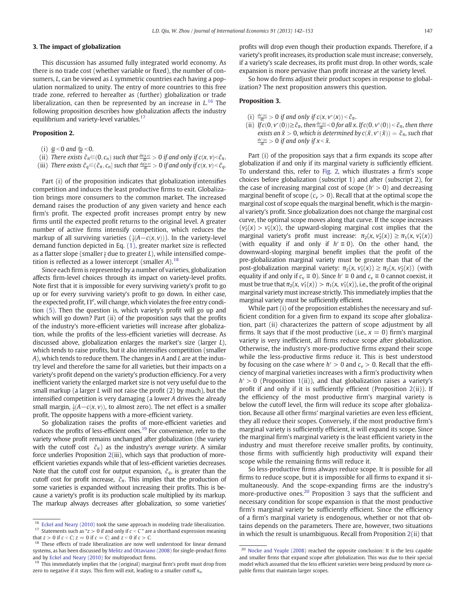#### <span id="page-5-0"></span>3. The impact of globalization

This discussion has assumed fully integrated world economy. As there is no trade cost (whether variable or fixed), the number of consumers, L, can be viewed as L symmetric countries each having a population normalized to unity. The entry of more countries to this free trade zone, referred to hereafter as (further) globalization or trade liberalization, can then be represented by an increase in  $L^{16}$  The following proposition describes how globalization affects the industry equilibrium and variety-level variables.<sup>17</sup>

#### Proposition 2.

- (i)  $\frac{dA}{dt}$ <0 and  $\frac{dx_n}{dt}$ <0.
- (ii) There exists  $\tilde{c}_\pi \in (0, c_n)$  such that  $\frac{d\pi(x, v)}{dt} > 0$  if and only if  $c(x, v) < \tilde{c}_\pi$ .
- (iii) There exists  $\tilde{c}_q {\in} (\tilde{c}_\pi, c_n]$  such that  $\frac{dq(x,v)}{dt} > 0$  if and only if  $c(x,v) < \tilde{c}_q$ .

Part (i) of the proposition indicates that globalization intensifies competition and induces the least productive firms to exit. Globalization brings more consumers to the common market. The increased demand raises the production of any given variety and hence each firm's profit. The expected profit increases prompt entry by new firms until the expected profit returns to the original level. A greater number of active firms intensify competition, which reduces the markup of all surviving varieties  $(\frac{1}{2}(A-c(x,v)))$ . In the variety-level demand function depicted in Eq. [\(1\),](#page-2-0) greater market size is reflected as a flatter slope (smaller $\frac{\gamma}{L}$ due to greater L), while intensified competition is reflected as a lower intercept (smaller A).<sup>18</sup>

Since each firm is represented by a number of varieties, globalization affects firm-level choices through its impact on variety-level profits. Note first that it is impossible for every surviving variety's profit to go up or for every surviving variety's profit to go down. In either case, the expected profit,  $\Pi^e$ , will change, which violates the free entry condition [\(5\)](#page-4-0). Then the question is, which variety's profit will go up and which will go down? Part (ii) of the proposition says that the profits of the industry's more-efficient varieties will increase after globalization, while the profits of the less-efficient varieties will decrease. As discussed above, globalization enlarges the market's size (larger L), which tends to raise profits, but it also intensifies competition (smaller A), which tends to reduce them. The changes in A and L are at the industry level and therefore the same for all varieties, but their impacts on a variety's profit depend on the variety's production efficiency. For a very inefficient variety the enlarged market size is not very useful due to the small markup (a larger L will not raise the profit (2) by much), but the intensified competition is very damaging (a lower A drives the already small margin,  $\frac{1}{2}(A-c(x,v))$ , to almost zero). The net effect is a smaller profit. The opposite happens with a more-efficient variety.

So globalization raises the profits of more-efficient varieties and reduces the profits of less-efficient ones.<sup>19</sup> For convenience, refer to the variety whose profit remains unchanged after globalization (the variety with the cutoff cost  $\tilde{c}_{\pi}$ ) as the industry's *average variety*. A similar force underlies Proposition 2(iii), which says that production of moreefficient varieties expands while that of less-efficient varieties decreases. Note that the cutoff cost for output expansion,  $\tilde{c}_q$ , is greater than the cutoff cost for profit increase,  $\tilde{c}_{\pi}$ . This implies that the production of some varieties is expanded without increasing their profits. This is because a variety's profit is its production scale multiplied by its markup. The markup always decreases after globalization, so some varieties' profits will drop even though their production expands. Therefore, if a variety's profit increases, its production scale must increase; conversely, if a variety's scale decreases, its profit must drop. In other words, scale expansion is more pervasive than profit increase at the variety level.

So how do firms adjust their product scopes in response to globalization? The next proposition answers this question.

#### Proposition 3.

- (i)  $\frac{dv^*(x)}{dt} > 0$  if and only if  $c(x, v^*(x)) < \tilde{c}_{\pi}$ .
- (ii) If  $c(0, v^*(0)) \geq \tilde{c}_\pi$ , then  $\frac{dv^*(x)}{dt} < 0$  for all x. If  $c(0, v^*(0)) < \tilde{c}_\pi$ , then there exists an  $\tilde{x} > 0$ , which is determined by  $c(\tilde{x}, v^*(\tilde{x})) = \tilde{c}_{\pi}$ , such that  $\frac{dv(x)}{dx} > 0$  if and only if  $x < \tilde{y}$  $\frac{d\mathcal{F}\left(\mathbf{x}\right)}{d\mathcal{L}}>0$  if and only if  $\mathbf{x}\!<\!\tilde{\mathbf{x}}$ .

Part (i) of the proposition says that a firm expands its scope after globalization if and only if its marginal variety is sufficiently efficient. To understand this, refer to [Fig. 2,](#page-6-0) which illustrates a firm's scope choices before globalization (subscript 1) and after (subscript 2), for the case of increasing marginal cost of scope  $(h' > 0)$  and decreasing marginal benefit of scope ( $c_v > 0$ ). Recall that at the optimal scope the marginal cost of scope equals the marginal benefit, which is the marginal variety's profit. Since globalization does not change the marginal cost curve, the optimal scope moves along that curve. If the scope increases  $(v_2^*(x) > v_1^*(x))$ , the upward-sloping marginal cost implies that the marginal variety's profit must increase:  $\pi_2(x, v_2^*(x)) \ge \pi_1(x, v_1^*(x))$ (with equality if and only if  $h' \equiv 0$ ). On the other hand, the downward-sloping marginal benefit implies that the profit of the pre-globalization marginal variety must be greater than that of the post-globalization marginal variety:  $\pi_2(x, v_1^*(x)) \geq \pi_2(x, v_2^*(x))$  (with equality if and only if  $c_v \equiv 0$ ). Since  $h' \equiv 0$  and  $c_v \equiv 0$  cannot coexist, it must be true that  $\pi_2(x, v_1^*(x)) > \pi_1(x, v_1^*(x))$ , i.e., the profit of the original marginal variety must increase strictly. This immediately implies that the marginal variety must be sufficiently efficient.

While part (i) of the proposition establishes the necessary and sufficient condition for a given firm to expand its scope after globalization, part (ii) characterizes the pattern of scope adjustment by all firms. It says that if the most productive (i.e.,  $x = 0$ ) firm's marginal variety is very inefficient, all firms reduce scope after globalization. Otherwise, the industry's more-productive firms expand their scope while the less-productive firms reduce it. This is best understood by focusing on the case where  $h' > 0$  and  $c_v > 0$ . Recall that the efficiency of marginal varieties increases with a firm's productivity when  $h' > 0$  (Proposition [1](#page-3-0)(ii)), and that globalization raises a variety's profit if and only if it is sufficiently efficient (Proposition  $2(ii)$ ). If the efficiency of the most productive firm's marginal variety is below the cutoff level, the firm will reduce its scope after globalization. Because all other firms' marginal varieties are even less efficient, they all reduce their scopes. Conversely, if the most productive firm's marginal variety is sufficiently efficient, it will expand its scope. Since the marginal firm's marginal variety is the least efficient variety in the industry and must therefore receive smaller profits, by continuity, those firms with sufficiently high productivity will expand their scope while the remaining firms will reduce it.

So less-productive firms always reduce scope. It is possible for all firms to reduce scope, but it is impossible for all firms to expand it simultaneously. And the scope-expanding firms are the industry's more-productive ones.<sup>20</sup> Proposition 3 says that the sufficient and necessary condition for scope expansion is that the most productive firm's marginal variety be sufficiently efficient. Since the efficiency of a firm's marginal variety is endogenous, whether or not that obtains depends on the parameters. There are, however, two situations in which the result is unambiguous. Recall from Proposition 2(ii) that

 $16$  [Eckel and Neary \(2010\)](#page-11-0) took the same approach in modeling trade liberalization.  $^{17}$  Statements such as "z  $> 0$  if and only if  $c < C$  " are a shorthand expression meaning that  $z > 0$  if  $c < C$ ;  $z = 0$  if  $c = C$ ; and  $z < 0$  if  $c > C$ .

<sup>&</sup>lt;sup>18</sup> These effects of trade liberalization are now well understood for linear demand systems, as has been discussed by [Melitz and Ottaviano \(2008\)](#page-11-0) for single-product firms and by [Eckel and Neary \(2010\)](#page-11-0) for multiproduct firms.

<sup>&</sup>lt;sup>19</sup> This immediately implies that the (original) marginal firm's profit must drop from zero to negative if it stays. This firm will exit, leading to a smaller cutoff  $x_n$ .

<sup>&</sup>lt;sup>20</sup> [Nocke and Yeaple \(2008\)](#page-11-0) reached the opposite conclusion: It is the less capable and smaller firms that expand scope after globalization. This was due to their special model which assumed that the less efficient varieties were being produced by more capable firms that maintain larger scopes.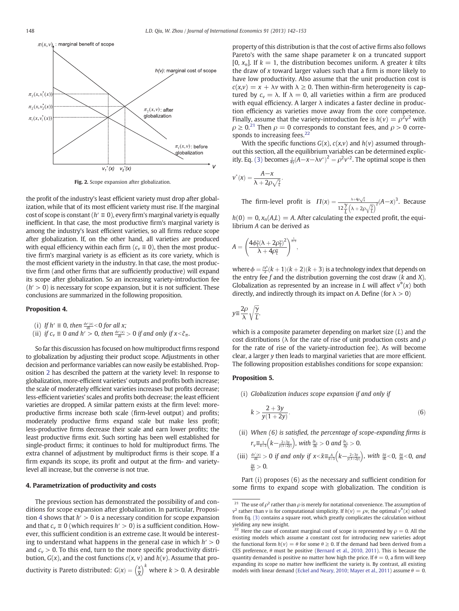<span id="page-6-0"></span>

Fig. 2. Scope expansion after globalization.

the profit of the industry's least efficient variety must drop after globalization, while that of its most efficient variety must rise. If the marginal cost of scope is constant ( $h' \equiv 0$ ), every firm's marginal variety is equally inefficient. In that case, the most productive firm's marginal variety is among the industry's least efficient varieties, so all firms reduce scope after globalization. If, on the other hand, all varieties are produced with equal efficiency within each firm ( $c<sub>v</sub> \equiv 0$ ), then the most productive firm's marginal variety is as efficient as its core variety, which is the most efficient variety in the industry. In that case, the most productive firm (and other firms that are sufficiently productive) will expand its scope after globalization. So an increasing variety-introduction fee  $(h' > 0)$  is necessary for scope expansion, but it is not sufficient. These conclusions are summarized in the following proposition.

#### Proposition 4.

- (i) If  $h' \equiv 0$ , then  $\frac{dV''(X)}{dL} < 0$  for all x;
- (ii) if  $c_v \equiv 0$  and  $h' > 0$ , then  $\frac{dv'(x)}{dt} > 0$  if and only if  $x < \tilde{c}_\pi$ .

So far this discussion has focused on how multiproduct firms respond to globalization by adjusting their product scope. Adjustments in other decision and performance variables can now easily be established. Proposition [2](#page-5-0) has described the pattern at the variety level: In response to globalization, more-efficient varieties' outputs and profits both increase; the scale of moderately efficient varieties increases but profits decrease; less-efficient varieties' scales and profits both decrease; the least efficient varieties are dropped. A similar pattern exists at the firm level: moreproductive firms increase both scale (firm-level output) and profits; moderately productive firms expand scale but make less profit; less-productive firms decrease their scale and earn lower profits; the least productive firms exit. Such sorting has been well established for single-product firms; it continues to hold for multiproduct firms. The extra channel of adjustment by multiproduct firms is their scope. If a firm expands its scope, its profit and output at the firm- and varietylevel all increase, but the converse is not true.

#### 4. Parametrization of productivity and costs

The previous section has demonstrated the possibility of and conditions for scope expansion after globalization. In particular, Proposition 4 shows that  $h' > 0$  is a necessary condition for scope expansion and that  $c_v \equiv 0$  (which requires  $h' > 0$ ) is a sufficient condition. However, this sufficient condition is an extreme case. It would be interesting to understand what happens in the general case in which  $h' > 0$ and  $c_v > 0$ . To this end, turn to the more specific productivity distribution,  $G(x)$ , and the cost functions  $c(x, v)$  and  $h(v)$ . Assume that productivity is Pareto distributed:  $G(x) = \left(\frac{x}{X}\right)^k$  where  $k > 0$ . A desirable

property of this distribution is that the cost of active firms also follows Pareto's with the same shape parameter  $k$  on a truncated support [0,  $x_n$ ]. If  $k = 1$ , the distribution becomes uniform. A greater k tilts the draw of  $x$  toward larger values such that a firm is more likely to have low productivity. Also assume that the unit production cost is  $c(x,v) = x + \lambda v$  with  $\lambda \ge 0$ . Then within-firm heterogeneity is captured by  $c_v = \lambda$ . If  $\lambda = 0$ , all varieties within a firm are produced with equal efficiency. A larger  $\lambda$  indicates a faster decline in production efficiency as varieties move away from the core competence. Finally, assume that the variety-introduction fee is  $h(v) = \rho^2 v^2$  with  $\rho \ge 0$ .<sup>21</sup> Then  $\rho = 0$  corresponds to constant fees, and  $\rho > 0$  corresponds to increasing fees.<sup>22</sup>

With the specific functions  $G(x)$ ,  $c(x,v)$  and  $h(v)$  assumed throughout this section, all the equilibrium variables can be determined explic-itly. Eq. [\(3\)](#page-3-0) becomes  $\frac{1}{4\gamma}(A-x-\lambda v^*)^2 = \rho^2 v^{*2}$ . The optimal scope is then

$$
\nu^*(x) = \frac{A - x}{\lambda + 2\rho\sqrt{\tau}}.
$$

The firm-level profit is  $\Pi(x) = \frac{\lambda + 4\rho \sqrt{x}}{4\rho^2 \sqrt{x}}$  $\frac{\lambda+4\rho\sqrt{\tilde{\gamma}}}{12\frac{\gamma}{L}\left(\lambda+2\rho\sqrt{\frac{\gamma}{L}}\right)^2}$  (*A*-x)<sup>3</sup>. Because

 $h(0) = 0$ ,  $x_n(A,L) = A$ . After calculating the expected profit, the equilibrium A can be derived as

$$
A = \left(\frac{4\phi_{\tilde{L}}^{\gamma}(\lambda + 2\rho_{\tilde{L}}^{\gamma})^2}{\lambda + 4\rho_{\tilde{L}}^{\gamma}}\right)^{\frac{1}{k+3}},
$$

where  $\phi = \frac{f x^k}{2}(k+1)(k+2)(k+3)$  is a technology index that depends on the entry fee  $f$  and the distribution governing the cost draw ( $k$  and  $X$ ). Globalization as represented by an increase in *L* will affect  $v^*(x)$  both directly, and indirectly through its impact on A. Define (for  $\lambda > 0$ )

$$
y \equiv \frac{2\rho}{\lambda} \sqrt{\frac{\gamma}{L}},
$$

which is a composite parameter depending on market size  $(L)$  and the cost distributions ( $\lambda$  for the rate of rise of unit production costs and  $\rho$ for the rate of rise of the variety-introduction fee). As will become clear, a larger y then leads to marginal varieties that are more efficient. The following proposition establishes conditions for scope expansion:

# Proposition 5.

(i) Globalization induces scope expansion if and only if

$$
k > \frac{2+3y}{y(1+2y)}.\tag{6}
$$

- (ii) When (6) is satisfied, the percentage of scope-expanding firms is  $r_{v}\equiv \frac{1}{k+3}\left(k-\frac{2+3y}{y(1+2y)}\right)$ , with  $\frac{\partial r_{v}}{\partial k}>0$  and  $\frac{\partial r_{v}}{\partial y}>0$ .
- (iii)  $\frac{dv'(x)}{dt} > 0$  if and only if  $x < \tilde{x} \equiv \frac{A}{k+3} (k \frac{2+3y}{y(1+2y)})$ , with  $\frac{\partial \tilde{x}}{\partial \lambda} < 0$ ,  $\frac{\partial \tilde{x}}{\partial \lambda} < 0$ , and <u>∂</u>x  $\frac{\partial \tilde{x}}{\partial \rho}>0.$

Part (i) proposes (6) as the necessary and sufficient condition for some firms to expand scope with globalization. The condition is

<sup>&</sup>lt;sup>21</sup> The use of  $\rho^2$  rather than  $\rho$  is merely for notational convenience. The assumption of  $v^2$  rather than v is for computational simplicity. If  $h(v) = \rho v$ , the optimal  $v^*(x)$  solved from Eq. [\(3\)](#page-3-0) contains a square root, which greatly complicates the calculation without yielding any new insight.

<sup>&</sup>lt;sup>22</sup> Here the case of constant marginal cost of scope is represented by  $\rho = 0$ . All the existing models which assume a constant cost for introducing new varieties adopt the functional form  $h(v) = \theta$  for some  $\theta \ge 0$ . If the demand had been derived from a CES preference,  $\theta$  must be positive [\(Bernard et al., 2010, 2011\)](#page-11-0). This is because the quantity demanded is positive no matter how high the price. If  $\theta = 0$ , a firm will keep expanding its scope no matter how inefficient the variety is. By contrast, all existing models with linear demand [\(Eckel and Neary, 2010; Mayer et al., 2011](#page-11-0)) assume  $\theta = 0$ .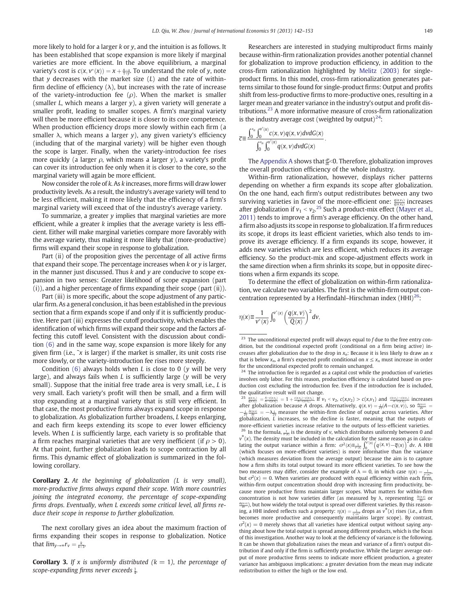more likely to hold for a larger  $k$  or  $y$ , and the intuition is as follows. It has been established that scope expansion is more likely if marginal varieties are more efficient. In the above equilibrium, a marginal variety's cost is  $c(x, v^*(x)) = x + \frac{A-x}{1+y}$ . To understand the role of y, note that  $y$  decreases with the market size  $(L)$  and the rate of withinfirm decline of efficiency  $(\lambda)$ , but increases with the rate of increase of the variety-introduction fee ( $\rho$ ). When the market is smaller (smaller  $L$ , which means a larger  $y$ ), a given variety will generate a smaller profit, leading to smaller scopes. A firm's marginal variety will then be more efficient because it is closer to its core competence. When production efficiency drops more slowly within each firm (a smaller  $\lambda$ , which means a larger y), any given variety's efficiency (including that of the marginal variety) will be higher even though the scope is larger. Finally, when the variety-introduction fee rises more quickly (a larger  $\rho$ , which means a larger y), a variety's profit can cover its introduction fee only when it is closer to the core, so the marginal variety will again be more efficient.

Now consider the role of k. As k increases, more firms will draw lower productivity levels. As a result, the industry's average variety will tend to be less efficient, making it more likely that the efficiency of a firm's marginal variety will exceed that of the industry's average variety.

To summarize, a greater  $\nu$  implies that marginal varieties are more efficient, while a greater  $k$  implies that the average variety is less efficient. Either will make marginal varieties compare more favorably with the average variety, thus making it more likely that (more-productive) firms will expand their scope in response to globalization.

Part (ii) of the proposition gives the percentage of all active firms that expand their scope. The percentage increases when k or y is larger, in the manner just discussed. Thus  $k$  and  $y$  are conducive to scope expansion in two senses: Greater likelihood of scope expansion (part (i)), and a higher percentage of firms expanding their scope (part (ii)).

Part (iii) is more specific, about the scope adjustment of any particular firm. As a general conclusion, it has been established in the previous section that a firm expands scope if and only if it is sufficiently productive. Here part (iii) expresses the cutoff productivity, which enables the identification of which firms will expand their scope and the factors affecting this cutoff level. Consistent with the discussion about condition [\(6\)](#page-6-0) and in the same way, scope expansion is more likely for any given firm (i.e.,  $\tilde{x}$  is larger) if the market is smaller, its unit costs rise more slowly, or the variety-introduction fee rises more steeply.

Condition [\(6\)](#page-6-0) always holds when L is close to 0 (y will be very large), and always fails when  $L$  is sufficiently large (y will be very small). Suppose that the initial free trade area is very small, i.e., L is very small. Each variety's profit will then be small, and a firm will stop expanding at a marginal variety that is still very efficient. In that case, the most productive firms always expand scope in response to globalization. As globalization further broadens, L keeps enlarging, and each firm keeps extending its scope to ever lower efficiency levels. When L is sufficiently large, each variety is so profitable that a firm reaches marginal varieties that are very inefficient (if  $\rho > 0$ ). At that point, further globalization leads to scope contraction by all firms. This dynamic effect of globalization is summarized in the following corollary.

Corollary 2. At the beginning of globalization (L is very small), more-productive firms always expand their scope. With more countries joining the integrated economy, the percentage of scope-expanding firms drops. Eventually, when L exceeds some critical level, all firms reduce their scope in response to further globalization.

The next corollary gives an idea about the maximum fraction of firms expanding their scopes in response to globalization. Notice that  $lim_{y\to\infty} r_v = \frac{k}{k+3}$ .

**Corollary 3.** If x is uniformly distributed  $(k = 1)$ , the percentage of scope-expanding firms never exceeds  $\frac{1}{4}$ .

Researchers are interested in studying multiproduct firms mainly because within-firm rationalization provides another potential channel for globalization to improve production efficiency, in addition to the cross-firm rationalization highlighted by [Melitz \(2003\)](#page-11-0) for singleproduct firms. In this model, cross-firm rationalization generates patterns similar to those found for single-product firms: Output and profits shift from less-productive firms to more-productive ones, resulting in a larger mean and greater variance in the industry's output and profit distributions.<sup>23</sup> A more informative measure of cross-firm rationalization is the industry average cost (weighted by output)<sup>24</sup>:

$$
\overline{c} \equiv \frac{\int_0^{x_n} \int_0^{v^*(x)} c(x, v) q(x, v) dv dG(x)}{\int_0^{x_n} \int_0^{v^*(x)} q(x, v) dv dG(x)}
$$

The [Appendix A](#page-9-0) shows that  $\frac{d\overline{c}}{dt}$ <0. Therefore, globalization improves the overall production efficiency of the whole industry.

:

Within-firm rationalization, however, displays richer patterns depending on whether a firm expands its scope after globalization. On the one hand, each firm's output redistributes between any two surviving varieties in favor of the more-efficient one:  $\frac{q(x,v_1)}{q(x,v_2)}$  increases after globalization if  $v_1 < v_2$ .<sup>25</sup> Such a product-mix effect ([Mayer et al.,](#page-11-0) [2011](#page-11-0)) tends to improve a firm's average efficiency. On the other hand, a firm also adjusts its scope in response to globalization. If a firm reduces its scope, it drops its least efficient varieties, which also tends to improve its average efficiency. If a firm expands its scope, however, it adds new varieties which are less efficient, which reduces its average efficiency. So the product-mix and scope-adjustment effects work in the same direction when a firm shrinks its scope, but in opposite directions when a firm expands its scope.

To determine the effect of globalization on within-firm rationalization, we calculate two variables. The first is the within-firm output concentration represented by a Herfindahl–Hirschman index  $(HHI)^{26}$ :

$$
\eta(x) \equiv \frac{1}{v^*(x)} \int_0^{v^*(x)} \left(\frac{q(x,v)}{Q(x)}\right)^2 dv,
$$

 $23$  The unconditional expected profit will always equal to f due to the free entry condition, but the conditional expected profit (conditional on a firm being active) increases after globalization due to the drop in  $x_n$ : Because it is less likely to draw an x that is below  $x_n$ , a firm's expected profit conditional on  $x \le x_n$  must increase in order for the unconditional expected profit to remain unchanged.

 $24$  The introduction fee is regarded as a capital cost while the production of varieties involves only labor. For this reason, production efficiency is calculated based on production cost excluding the introduction fee. Even if the introduction fee is included, the qualitative result will not change.

 $\frac{25}{q(x,y_1)} = \frac{A-c(x,y_1)}{A-c(x,y_2)} = 1 + \frac{c(x,y_2)-c(x,y_1)}{A-c(x,y_2)}$ . If  $v_1 < v_2$ ,  $c(x,v_2) > c(x,v_1)$  and  $\frac{c(x,y_2)-c(x,y_1)}{A-c(x,y_2)}$  increases after globalization because A drops. Alternatively,  $q(x, v) = \frac{L}{2y}(A - c(x, v))$ , so  $\frac{dq(x,v)}{dv}$  $-\frac{L}{2\gamma}\frac{\partial c(x,v)}{\partial v}=-\lambda\frac{L}{2\gamma}$  measure the within-firm decline of output across varieties. After globalization,  $\vec{L}$  increases, so the decline is faster, meaning that the outputs of more-efficient varieties increase relative to the outputs of less-efficient varieties. <sup>26</sup> In the formula,  $\frac{1}{v^{(x)}}$  is the density of v, which distributes uniformly between 0 and  $\hat{p}^*(x)$ . The density must be included in the calculation for the same reason as in calculating the output variance within a firm:  $\sigma^2(x) \equiv \frac{1}{v(x)} \int_0^{v(x)} \left( q(x, v) - \overline{q}(x) \right)^2 dv$ . A HHI (which focuses on more-efficient varieties) is more informative than the variance (which measures deviation from the average output) because the aim is to capture how a firm shifts its total output toward its more efficient varieties. To see how the two measures may differ, consider the example of  $\lambda = 0$ , in which case  $\eta(x) =$ two measures may differ, consider the example of  $\lambda = 0$ , in which case  $\eta(x) = \frac{1}{\eta'(x)}$ <br>but  $\sigma^2(x) = 0$ . When varieties are produced with equal efficiency within each firm, within-firm output concentration should drop with increasing firm productivity, because more productive firms maintain larger scopes. What matters for within-firm concentration is not how varieties differ (as measured by λ, representing  $\frac{\partial c(x,y)}{\partial y}$  or  $\frac{dq(x,v)}{dv}$ ), but how widely the total output is spread over different varieties. By this reasoning, a HHI indeed reflects such a property:  $\eta(x) = \frac{1}{\gamma(x)^2}$  drops as  $v^*(x)$  rises (i.e., a firm becomes more productive and consequently maintains larger scope). By contrast,  $\sigma^2(x) = 0$  merely shows that all varieties have identical output without saying anything about how the total output is spread among different products, which is the focus of this investigation. Another way to look at the deficiency of variance is the following. It can be shown that globalization raises the mean and variance of a firm's output distribution if and only if the firm is sufficiently productive. While the larger average output of more productive firms seems to indicate more efficient production, a greater variance has ambiguous implications: a greater deviation from the mean may indicate redistribution to either the high or the low end.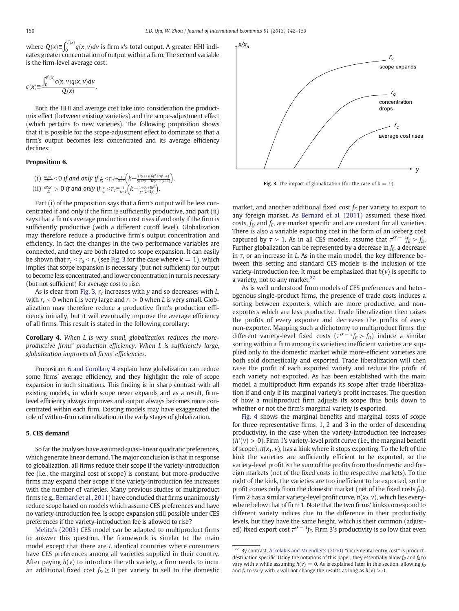<span id="page-8-0"></span>where  $Q(x) \equiv \int_0^{v'(x)} q(x, v) dv$  is firm x's total output. A greater HHI indicates greater concentration of output within a firm. The second variable is the firm-level average cost:

$$
\overline{c}(x) \equiv \frac{\int_0^{v^*(x)} c(x, v) q(x, v) dv}{Q(x)}.
$$

Both the HHI and average cost take into consideration the productmix effect (between existing varieties) and the scope-adjustment effect (which pertains to new varieties). The following proposition shows that it is possible for the scope-adjustment effect to dominate so that a firm's output becomes less concentrated and its average efficiency declines:

#### Proposition 6.

(i) 
$$
\frac{d\eta(x)}{dt} < 0
$$
 if and only if  $\frac{x}{x_n} < r_q \equiv \frac{1}{k+3} \left( k - \frac{(3y+1)(6y^2+9y+4)}{y(12y^2+18y^2+9y+1)} \right)$ .  
\n(ii)  $\frac{d\bar{c}(x)}{dt} > 0$  if and only if  $\frac{x}{x_n} < r_c \equiv \frac{1}{k+3} \left( k - \frac{1+6y+6y^2}{y^2(2+3y)} \right)$ .

Part (i) of the proposition says that a firm's output will be less concentrated if and only if the firm is sufficiently productive, and part (ii) says that a firm's average production cost rises if and only if the firm is sufficiently productive (with a different cutoff level). Globalization may therefore reduce a productive firm's output concentration and efficiency. In fact the changes in the two performance variables are connected, and they are both related to scope expansion. It can easily be shown that  $r_c < r_q < r_v$  (see Fig. 3 for the case where  $k = 1$ ), which implies that scope expansion is necessary (but not sufficient) for output to become less concentrated, and lower concentration in turn is necessary (but not sufficient) for average cost to rise.

As is clear from Fig. 3,  $r_c$  increases with y and so decreases with  $L$ , with  $r_c$  < 0 when L is very large and  $r_c > 0$  when L is very small. Globalization may therefore reduce a productive firm's production efficiency initially, but it will eventually improve the average efficiency of all firms. This result is stated in the following corollary:

Corollary 4. When L is very small, globalization reduces the moreproductive firms' production efficiency. When L is sufficiently large, globalization improves all firms' efficiencies.

Proposition 6 and Corollary 4 explain how globalization can reduce some firms' average efficiency, and they highlight the role of scope expansion in such situations. This finding is in sharp contrast with all existing models, in which scope never expands and as a result, firmlevel efficiency always improves and output always becomes more concentrated within each firm. Existing models may have exaggerated the role of within-firm rationalization in the early stages of globalization.

#### 5. CES demand

So far the analyses have assumed quasi-linear quadratic preferences, which generate linear demand. The major conclusion is that in response to globalization, all firms reduce their scope if the variety-introduction fee (i.e., the marginal cost of scope) is constant, but more-productive firms may expand their scope if the variety-introduction fee increases with the number of varieties. Many previous studies of multiproduct firms (e.g., [Bernard et al., 2011](#page-11-0)) have concluded that firms unanimously reduce scope based on models which assume CES preferences and have no variety-introduction fee. Is scope expansion still possible under CES preferences if the variety-introduction fee is allowed to rise?

[Melitz's \(2003\)](#page-11-0) CES model can be adapted to multiproduct firms to answer this question. The framework is similar to the main model except that there are L identical countries where consumers have CES preferences among all varieties supplied in their country. After paying  $h(v)$  to introduce the vth variety, a firm needs to incur an additional fixed cost  $f_D \geq 0$  per variety to sell to the domestic



**Fig. 3.** The impact of globalization (for the case of  $k = 1$ ).

market, and another additional fixed cost  $f_E$  per variety to export to any foreign market. As [Bernard et al. \(2011\)](#page-11-0) assumed, these fixed costs,  $f_D$  and  $f_E$ , are market specific and are constant for all varieties. There is also a variable exporting cost in the form of an iceberg cost captured by  $\tau > 1$ . As in all CES models, assume that  $\tau^{\sigma - 1} f_E > f_D$ . Further globalization can be represented by a decrease in  $f_E$ , a decrease in  $\tau$ , or an increase in L. As in the main model, the key difference between this setting and standard CES models is the inclusion of the variety-introduction fee. It must be emphasized that  $h(v)$  is specific to a variety, not to any market.<sup>27</sup>

As is well understood from models of CES preferences and heterogenous single-product firms, the presence of trade costs induces a sorting between exporters, which are more productive, and nonexporters which are less productive. Trade liberalization then raises the profits of every exporter and decreases the profits of every non-exporter. Mapping such a dichotomy to multiproduct firms, the different variety-level fixed costs  $(\tau^{\sigma-1} f_E > f_D)$  induce a similar sorting within a firm among its varieties: inefficient varieties are supplied only to the domestic market while more-efficient varieties are both sold domestically and exported. Trade liberalization will then raise the profit of each exported variety and reduce the profit of each variety not exported. As has been established with the main model, a multiproduct firm expands its scope after trade liberalization if and only if its marginal variety's profit increases. The question of how a multiproduct firm adjusts its scope thus boils down to whether or not the firm's marginal variety is exported.

[Fig. 4](#page-9-0) shows the marginal benefits and marginal costs of scope for three representative firms, 1, 2 and 3 in the order of descending productivity, in the case when the variety-introduction fee increases  $(h'(v) > 0)$ . Firm 1's variety-level profit curve (i.e., the marginal benefit of scope),  $\pi(x_1, v)$ , has a kink where it stops exporting. To the left of the kink the varieties are sufficiently efficient to be exported, so the variety-level profit is the sum of the profits from the domestic and foreign markets (net of the fixed costs in the respective markets). To the right of the kink, the varieties are too inefficient to be exported, so the profit comes only from the domestic market (net of the fixed costs  $f_D$ ). Firm 2 has a similar variety-level profit curve,  $\pi(x_2, v)$ , which lies everywhere below that of firm 1. Note that the two firms' kinks correspond to different variety indices due to the difference in their productivity levels, but they have the same height, which is their common (adjusted) fixed export cost  $\tau^{\sigma - 1}$  *f<sub>E</sub>*. Firm 3's productivity is so low that even

By contrast, [Arkolakis and Muendler's \(2010\)](#page-11-0) "incremental entry cost" is productdestination specific. Using the notations of this paper, they essentially allow  $f_D$  and  $f_E$  to vary with v while assuming  $h(v) = 0$ . As is explained later in this section, allowing  $f<sub>D</sub>$ and  $f_E$  to vary with v will not change the results as long as  $h(v) > 0$ .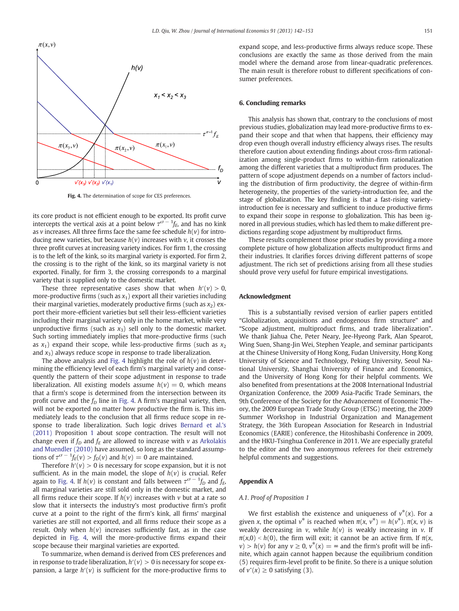<span id="page-9-0"></span>

Fig. 4. The determination of scope for CES preferences.

its core product is not efficient enough to be exported. Its profit curve intercepts the vertical axis at a point below  $\tau^{\sigma-1} f_E$ , and has no kink as v increases. All three firms face the same fee schedule  $h(v)$  for introducing new varieties, but because  $h(v)$  increases with v, it crosses the three profit curves at increasing variety indices. For firm 1, the crossing is to the left of the kink, so its marginal variety is exported. For firm 2, the crossing is to the right of the kink, so its marginal variety is not exported. Finally, for firm 3, the crossing corresponds to a marginal variety that is supplied only to the domestic market.

These three representative cases show that when  $h'(v) > 0$ , more-productive firms (such as  $x_1$ ) export all their varieties including their marginal varieties, moderately productive firms (such as  $x_2$ ) export their more-efficient varieties but sell their less-efficient varieties including their marginal variety only in the home market, while very unproductive firms (such as  $x_3$ ) sell only to the domestic market. Such sorting immediately implies that more-productive firms (such as  $x_1$ ) expand their scope, while less-productive firms (such as  $x_2$ ) and  $x_3$ ) always reduce scope in response to trade liberalization.

The above analysis and Fig. 4 highlight the role of  $h(v)$  in determining the efficiency level of each firm's marginal variety and consequently the pattern of their scope adjustment in response to trade liberalization. All existing models assume  $h(v) = 0$ , which means that a firm's scope is determined from the intersection between its profit curve and the  $f<sub>D</sub>$  line in Fig. 4. A firm's marginal variety, then, will not be exported no matter how productive the firm is. This immediately leads to the conclusion that all firms reduce scope in response to trade liberalization. Such logic drives [Bernard et al.'s](#page-11-0) [\(2011\)](#page-11-0) Proposition [1](#page-3-0) about scope contraction. The result will not change even if  $f_D$  and  $f_E$  are allowed to increase with v as [Arkolakis](#page-11-0) [and Muendler \(2010\)](#page-11-0) have assumed, so long as the standard assumptions of  $\tau^{\sigma - 1} f_E(v) > f_D(v)$  and  $h(v) = 0$  are maintained.

Therefore  $h'(v) > 0$  is necessary for scope expansion, but it is not sufficient. As in the main model, the slope of  $h(v)$  is crucial. Refer again to Fig. 4. If  $h(v)$  is constant and falls between  $\tau^{\sigma\,-\,1\!f_D$  and  $f_E$ , all marginal varieties are still sold only in the domestic market, and all firms reduce their scope. If  $h(v)$  increases with v but at a rate so slow that it intersects the industry's most productive firm's profit curve at a point to the right of the firm's kink, all firms' marginal varieties are still not exported, and all firms reduce their scope as a result. Only when  $h(v)$  increases sufficiently fast, as in the case depicted in Fig. 4, will the more-productive firms expand their scope because their marginal varieties are exported.

To summarize, when demand is derived from CES preferences and in response to trade liberalization,  $h'(v) > 0$  is necessary for scope expansion, a large  $h'(v)$  is sufficient for the more-productive firms to expand scope, and less-productive firms always reduce scope. These conclusions are exactly the same as those derived from the main model where the demand arose from linear-quadratic preferences. The main result is therefore robust to different specifications of consumer preferences.

#### 6. Concluding remarks

This analysis has shown that, contrary to the conclusions of most previous studies, globalization may lead more-productive firms to expand their scope and that when that happens, their efficiency may drop even though overall industry efficiency always rises. The results therefore caution about extending findings about cross-firm rationalization among single-product firms to within-firm rationalization among the different varieties that a multiproduct firm produces. The pattern of scope adjustment depends on a number of factors including the distribution of firm productivity, the degree of within-firm heterogeneity, the properties of the variety-introduction fee, and the stage of globalization. The key finding is that a fast-rising varietyintroduction fee is necessary and sufficient to induce productive firms to expand their scope in response to globalization. This has been ignored in all previous studies, which has led them to make different predictions regarding scope adjustment by multiproduct firms.

These results complement those prior studies by providing a more complete picture of how globalization affects multiproduct firms and their industries. It clarifies forces driving different patterns of scope adjustment. The rich set of predictions arising from all these studies should prove very useful for future empirical investigations.

#### Acknowledgment

This is a substantially revised version of earlier papers entitled "Globalization, acquisitions and endogenous firm structure" and "Scope adjustment, multiproduct firms, and trade liberalization". We thank Jiahua Che, Peter Neary, Jee-Hyeong Park, Alan Spearot, Wing Suen, Shang-Jin Wei, Stephen Yeaple, and seminar participants at the Chinese University of Hong Kong, Fudan University, Hong Kong University of Science and Technology, Peking University, Seoul National University, Shanghai University of Finance and Economics, and the University of Hong Kong for their helpful comments. We also benefited from presentations at the 2008 International Industrial Organization Conference, the 2009 Asia-Pacific Trade Seminars, the 9th Conference of the Society for the Advancement of Economic Theory, the 2009 European Trade Study Group (ETSG) meeting, the 2009 Summer Workshop in Industrial Organization and Management Strategy, the 36th European Association for Research in Industrial Economics (EARIE) conference, the Hitoshibashi Conference in 2009, and the HKU-Tsinghua Conference in 2011. We are especially grateful to the editor and the two anonymous referees for their extremely helpful comments and suggestions.

#### Appendix A

# A.1. Proof of Proposition 1

We first establish the existence and uniqueness of  $v^*(x)$ . For a given x, the optimal  $v^*$  is reached when  $\pi(x, v^*) = h(v^*)$ .  $\pi(x, v)$  is weakly decreasing in v, while  $h(v)$  is weakly increasing in v. If  $\pi(x,0)$  < h(0), the firm will exit; it cannot be an active firm. If  $\pi(x,0)$  $v > h(v)$  for any  $v \ge 0$ ,  $v^*(x) = \infty$  and the firm's profit will be infinite, which again cannot happen because the equilibrium condition (5) requires firm-level profit to be finite. So there is a unique solution of  $v^*(x) \geq 0$  satisfying (3).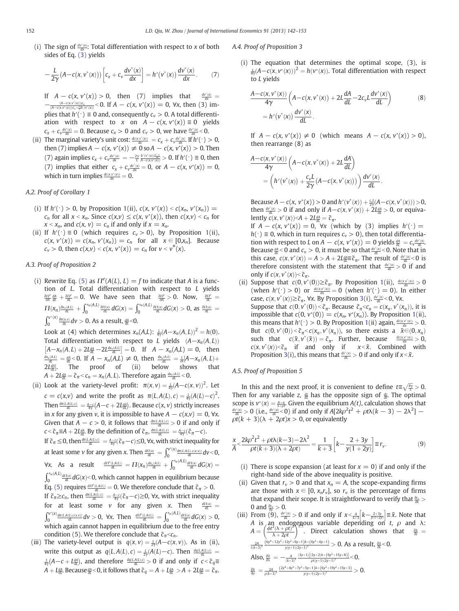(i) The sign of  $\frac{dv^*(x)}{dx}$ : Total differentiation with respect to x of both sides of Eq. [\(3\)](#page-3-0) yields

$$
-\frac{L}{2\gamma}\big(A-c(x,v^*(x))\big)\bigg[c_x+c_v\frac{dv^*(x)}{dx}\bigg]=h'\big(v^*(x)\big)\frac{dv^*(x)}{dx}.\tag{7}
$$

If  $A - c(x, v^*(x)) > 0$ , then (7) implies that  $\frac{dv^*}{d}$  $\frac{\partial u^*(x)}{\partial x} =$  $-\frac{(A-c(x,v^*(x)))c_x}{(A-c(x,v^*(x)))c_v+\frac{2\gamma h}{r}(v^*(x))}$  < 0. If  $A-c(x,v^*(x))=0$ ,  $\forall x$ , then (3) implies that  $h'(\cdot) \equiv 0$  and, consequently  $c_v > 0$ . A total differentiation with respect to x on  $A - c(x, v^*(x)) \equiv 0$  yields  $c_x + c_y \frac{dv^*(x)}{dx} = 0$ . Because  $c_x > 0$  and  $c_y > 0$ , we have  $\frac{dv^*(x)}{dx} < 0$ .

(ii) The marginal variety's unit cost:  $\frac{dc(x,v'(x))}{dx} = c_x + c_v \frac{dv'(x)}{dx}$ . If  $h'(\cdot) > 0$ , then (7) implies  $A - c(x, v^*(x)) \neq 0$  so  $A - c(x, v^*(x)) > 0$ . Then (7) again implies  $c_x + c_y \frac{dv^*(x)}{dx} = -\frac{2\gamma}{L} \frac{h'(v^*(x))\frac{dv^*(x)}{dx}}{A - c(x, v^*(x))} > 0$ . If  $h'(\cdot) \equiv 0$ , then (7) implies that either  $c_x + c_y \frac{dv^*(x)}{dx} = 0$ , or  $A - c(x, v^*(x)) = 0$ , which in turn implies  $\frac{d c(x, v^*(x))}{dx} = 0$ .

# A.2. Proof of Corollary 1

- (i) If  $h'(\cdot) > 0$ , by Proposition [1\(](#page-3-0)ii),  $c(x, v^*(x)) < c(x_n, v^*(x_n)) =$  $c_n$  for all  $x < x_n$ . Since  $c(x,v) \le c(x, v*(x))$ , then  $c(x,v) < c_n$  for  $x < x_n$ , and  $c(x, v) = c_n$  if and only if  $x = x_n$ .
- (ii) If  $h'(\cdot) \equiv 0$  (which requires  $c_v > 0$ ), by Proposition [1](#page-3-0)(ii),  $c(x, v^*(x)) = c(x_n, v^*(x_n)) = c_n$  for all  $x \in [0, x_n]$ . Because  $c_v > 0$ , then  $c(x,v) < c(x, v^*(x)) = c_n$  for  $v < v^*(x)$ .

# A.3. Proof of Proposition 2

(i) Rewrite Eq. [\(5\)](#page-4-0) as  $\Pi^{e}(A(L), L) = f$  to indicate that A is a function of L. Total differentiation with respect to L yields  $\frac{\partial H^e}{\partial A}\frac{dA}{dt}+\frac{\partial H^e}{\partial L}=0$ . We have seen that  $\frac{\partial H^e}{\partial A}>0$ . Now,  $\frac{\partial H^e}{\partial L}=0$  $\Pi(x_n) \frac{\partial x_n(A,L)}{\partial L} + \int_0^{x_n(A,L)} \frac{\partial \Pi(x)}{\partial L} dG(x) = \int_0^{x_n(A,L)} \frac{\partial \Pi(x)}{\partial L} dG(x) > 0$ , as  $\frac{\partial \Pi(x)}{\partial L} =$  $\int_0^{\nu^*(x)} \frac{\partial \pi(x,\nu)}{\partial L} d\nu > 0$ . As a result,  $\frac{dA}{dL} < 0$ .

Look at (4) which determines  $x_n(A,L)$ :  $\frac{L}{4\gamma}(A-x_n(A,L))^2 = h(0)$ . Total differentiation with respect to L yields  $(A-x_n(A, L))$  $[A-x_n(A,L) + 2L\frac{dA}{dt} - 2L\frac{dx_n(A,L)}{dt}] = 0$ . If  $A - x_n(A,L) = 0$ , then  $\frac{dx_n(A,L)}{dt} = \frac{dA}{dt} < 0$ . If  $A - x_n(A,L) \neq 0$ , then  $\frac{dx_n(A,L)}{dt} = \frac{1}{2L}[A - x_n(A,L) +$  $2L_{\frac{dA}{dL}}^{d\Delta}$ . The proof of (ii) below shows that  $A + 2L \frac{dA}{dt} = \tilde{c}_\pi < c_n = x_n(A, L)$ . Therefore again  $\frac{dx_n(A, L)}{dt} < 0$ .

- (ii) Look at the variety-level profit:  $\pi(x, v) = \frac{L}{4y}(A c(x, v))^2$ . Let  $c = c(x,v)$  and write the profit as  $\pi(L, A(L), c) = \frac{L}{4\gamma}(A(L) - c)^2$ . Then  $\frac{d\pi(LA(L),c)}{dt}=\frac{A-c}{4\gamma}(A-c+2L_{dL}^{dA})$ . Because  $c(x,v)$  strictly increases in x for any given v, it is impossible to have  $A - c(x, v) = 0$ ,  $\forall x$ . Given that  $A - c > 0$ , it follows that  $\frac{d\pi(L, A(L), c)}{dt} > 0$  if and only if  $c < \tilde{c}_\pi \equiv A + 2L \frac{dA}{dt}$ . By the definition of  $\tilde{c}_\pi$ ,  $\frac{d\pi(LA(L), c)}{dt} = \frac{A-c}{4\gamma}(\tilde{c}_\pi - c)$ . If  $\tilde{c}_\pi \leq 0$ , then  $\frac{d\pi(LA(L), c)}{dL} = \frac{A-c}{4\gamma}(\tilde{c}_\pi - c) \leq 0$ ,  $\forall x$ , with strict inequality for at least some *v* for any given *x*. Then  $\frac{dH(x)}{dt} = \int_0^{v^*(x)} \frac{dn(LA(L), c(x,v))}{dt} dv < 0$ ,  $\forall x$ . As a result  $\frac{dH^e(LA(L))}{dt} = \prod(x_n) \frac{dx_n(A,L)}{dt} + \int_0^{x_n(A,L)} \frac{dH(x)}{dt} dG(x) =$  $\int_0^{x_n(A,L)} \frac{d\Pi(x)}{dt} dG(x) < 0$ , which cannot happen in equilibrium because Eq. [\(5\)](#page-4-0) requires  $\frac{d\Pi^e(LA(L))}{dL} = 0$ . We therefore conclude that  $\tilde{c}_\pi > 0$ . If  $\tilde{c}_\pi \geq c_n$ , then  $\frac{d\pi(LA(L),c)}{dt} = \frac{A-c}{4\gamma}(\tilde{c}_\pi - c) \geq 0$ ,  $\forall x$ , with strict inequality for at least some v for any given x. Then  $\frac{d\Pi(x)}{dt}$  =  $\int_0^{v^*(x)} \frac{d\pi(LA(L),c(x,v))}{dt}dv > 0$ ,  $\forall x$ . Then  $\frac{d\Pi^e(LA(L))}{dt} = \int_0^{x_n(A,L)} \frac{d\Pi(x)}{dt}dG(x) > 0$ , which again cannot happen in equilibrium due to the free entry condition (5). We therefore conclude that  $\tilde{c}_n < c_n$ .
- (iii) The variety-level output is  $q(x, v) = \frac{L}{2\gamma}(A c(x, v))$ . As in (ii), write this output as  $q(L, A(L), c) = \frac{L}{2\gamma}(A(L) - c)$ . Then  $\frac{dq(L, A(L), c)}{dt}$  $\frac{1}{4\gamma}(A-c+L_{\overline{dl}}^{d\Delta})$ , and therefore  $\frac{dq(LA(L),c)}{dt}>0$  if and only if  $c<\widetilde{c}_q\equiv$  $A+L_{\bar d L}^{dA}$ . Because  $\frac{dA}{dL}{<}0$ , it follows that  $\widetilde c_q=A+L_{\bar d L}^{dA}>A+2L_{\bar d L}^{dA}=\widetilde c_\pi.$

### A.4. Proof of Proposition 3

(i) The equation that determines the optimal scope, (3), is  $\frac{L}{4\gamma}(A-c(x,v^*(x)))^2 = h(v^*(x)).$  Total differentiation with respect to L yields

$$
\frac{A - c(x, v^*(x))}{4\gamma} \left( A - c(x, v^*(x)) + 2L \frac{dA}{dt} - 2c_v L \frac{dv^*(x)}{dt} \right)
$$
\n
$$
= h'(v^*(x)) \frac{dv^*(x)}{dt}.
$$
\n(8)

If  $A - c(x, v^*(x)) \neq 0$  (which means  $A - c(x, v^*(x)) > 0$ ), then rearrange (8) as

$$
\frac{A - c(x, v^*(x))}{4\gamma} \left( A - c(x, v^*(x)) + 2L \frac{dA}{dL} \right)
$$
  
= 
$$
\left( h'(v^*(x)) + \frac{c_v L}{2\gamma} (A - c(x, v^*(x))) \right) \frac{dv^*(x)}{dL}.
$$

Because  $A - c(x, v^*(x)) > 0$  and  $h'(v^*(x)) + \frac{c_v L}{2\gamma}(A - c(x, v^*(x))) > 0$ then  $\frac{dv^*(x)}{dt} > 0$  if and only if  $A - c(x, v^*(x)) + 2L\frac{dA}{dt} > 0$ , or equivalently  $c(x, v^*(x)) < A + 2L_{\frac{dA}{dx}} = \tilde{c}_\pi$ .

If  $A - c(x, v^*(x)) = 0$ ,  $\forall x$  (which by (3) implies  $h'(\cdot) =$  $h(\cdot) \equiv 0$ , which in turn requires  $c_v > 0$ ), then total differentiation with respect to L on  $A - c(x, v^*(x)) = 0$  yields  $\frac{dA}{dt} = c_v \frac{dv^*(x)}{dt}$ . Because  $\frac{dA}{dt}$  < 0 and  $c_v > 0$ , it must be so that  $\frac{dv^*(x)}{dt}$  < 0. Note that in this case,  $c(x, v^*(x)) = A > A + 2L \frac{dA}{dt} = \tilde{c}_\pi$ . The result of  $\frac{dv^*(x)}{dt} < 0$  is therefore consistent with the statement that  $\frac{dv^*(x)}{dt} > 0$  if and only if  $c(x, v^*(x)) < \tilde{c}_\pi$ .

(ii) Suppose that  $c(0, v^*(0)) \geq \tilde{c}_\pi$ . By Proposition [1\(](#page-3-0)ii),  $\frac{dc(x, v^*(x))}{dx} > 0$ (when  $h'(\cdot) > 0$ ) or  $\frac{dc(x, y^*(x))}{dx} = 0$  (when  $h'(\cdot) = 0$ ). In either case,  $c(x, v^*(x)) \ge \tilde{c}_\pi$ ,  $\forall x$ . By Proposition [3\(](#page-5-0)i),  $\frac{dv^*(x)}{dt} < 0$ ,  $\forall x$ . Suppose that  $c(0, v^*(0)) < \tilde{c}_n$ . Because  $\tilde{c}_n < c_n = c(x_n, v^*(x_n))$ , it is impossible that  $c(0, v^*(0)) = c(x_n, v^*(x_n))$ . By Proposition [1\(](#page-3-0)ii), this means that  $h'(\cdot) > 0$ . By Proposition [1](#page-3-0)(ii) again,  $\frac{dc(x,v^*(x))}{dx} > 0$ . But  $c(0, v^*(0)) < \tilde{c}_n < c(x_n, v^*(x_n))$ , so there exists a  $\tilde{x} \in (0, x_n)$ such that  $c(\tilde{x}, v^*(\tilde{x})) = \tilde{c}_\pi$ . Further, because  $\frac{dc(x,v^*(x))}{dx} > 0$ ,  $c(x, v^*(x)) < \tilde{c}_\pi$  if and only if  $x < \tilde{x}$ . Combined with Proposition [3\(](#page-5-0)i), this means that  $\frac{dv^*(x)}{dt} > 0$  if and only if  $x < \tilde{x}$ .

#### A.5. Proof of Proposition 5

In this and the next proof, it is convenient to define  $t \equiv \sqrt{\frac{4\gamma}{L}} > 0$ . Then for any variable z,  $\frac{dz}{dt}$  has the opposite sign of  $\frac{dz}{dt}$ . The optimal scope is  $v^*(x) = \frac{A-x}{\lambda + \rho t}$ . Given the equilibrium  $A(t)$ , calculation shows that  $\frac{dv^*(x)}{dt} > 0$  (i.e.,  $\frac{dv^*(x)}{dt} < 0$ ) if and only if  $A[2k\rho^2t^2 + \rho t\lambda(k-3) - 2\lambda^2]$  –  $\rho t(k + 3)(\lambda + 2\rho t)x > 0$ , or equivalently

$$
\frac{x}{A} < \frac{2k\rho^2 t^2 + \rho t \lambda (k-3) - 2\lambda^2}{\rho t (k+3)(\lambda + 2\rho t)} = \frac{1}{k+3} \left[ k - \frac{2+3y}{y(1+2y)} \right] \equiv r_v.
$$
 (9)

- (i) There is scope expansion (at least for  $x = 0$ ) if and only if the right-hand side of the above inequality is positive.
- (ii) Given that  $r_v > 0$  and that  $x_n = A$ , the scope-expanding firms are those with  $x \in [0, x_n r_v]$ , so  $r_v$  is the percentage of firms that expand their scope. It is straightforward to verify that  $\frac{\partial r_v}{\partial k}$  > 0 and  $\frac{\partial r_v}{\partial y} > 0$ .
- (iii) From (9),  $\frac{dv'(x)}{dt} > 0$  if and only if  $x < \frac{A}{k+3} \left[k \frac{2+3y}{y(1+2y)}\right] \equiv \tilde{x}$ . Note that A is an endogenous variable depending on t,  $\rho$  and  $\lambda$ :<br>  $A = \left(\frac{\phi t^2(\lambda + \rho t)^2}{\lambda + 2\rho t}\right)^{\frac{1}{k+3}}$ . Direct calculation shows that  $\frac{\partial \bar{x}}{\partial t} =$ A is an endogeneous variable depending on *t*, *p* and *A*.<br> $A = \left(\frac{\phi t^2(\lambda + \rho t)^2}{\lambda + 2\rho t}\right)^{1/3}$ . Direct calculation shows that  $\frac{\partial \bar{x}}{\partial t} =$  $\lambda + 2\rho t$ 2A  $\frac{2A}{t(k+3)^2}\frac{(6y^4+12y^3+12y^2+6y+1)k+\left(6y^2+6y+1\right)}{y(y+1)(2y+1)^2}$  > 0. As a result,  $\frac{\partial \tilde{x}}{\partial L}$  < 0. Also,  $\frac{\partial \tilde{x}}{\partial \lambda} = -\frac{A}{(k+3)^2} \frac{(3y+1)[(3y+2)k + (6y^2+15y+8)]}{\rho t(y+1)(2y+1)^2} < 0.$  $\frac{\partial \tilde{x}}{\partial \rho}=\frac{2A}{\rho(k+3)^2}\frac{(2y^4+4y^3+7y^2+5y+1)k+\left(6y^3+19y^2+15y+3\right)}{y(y+1)(2y+1)^2}>0.$